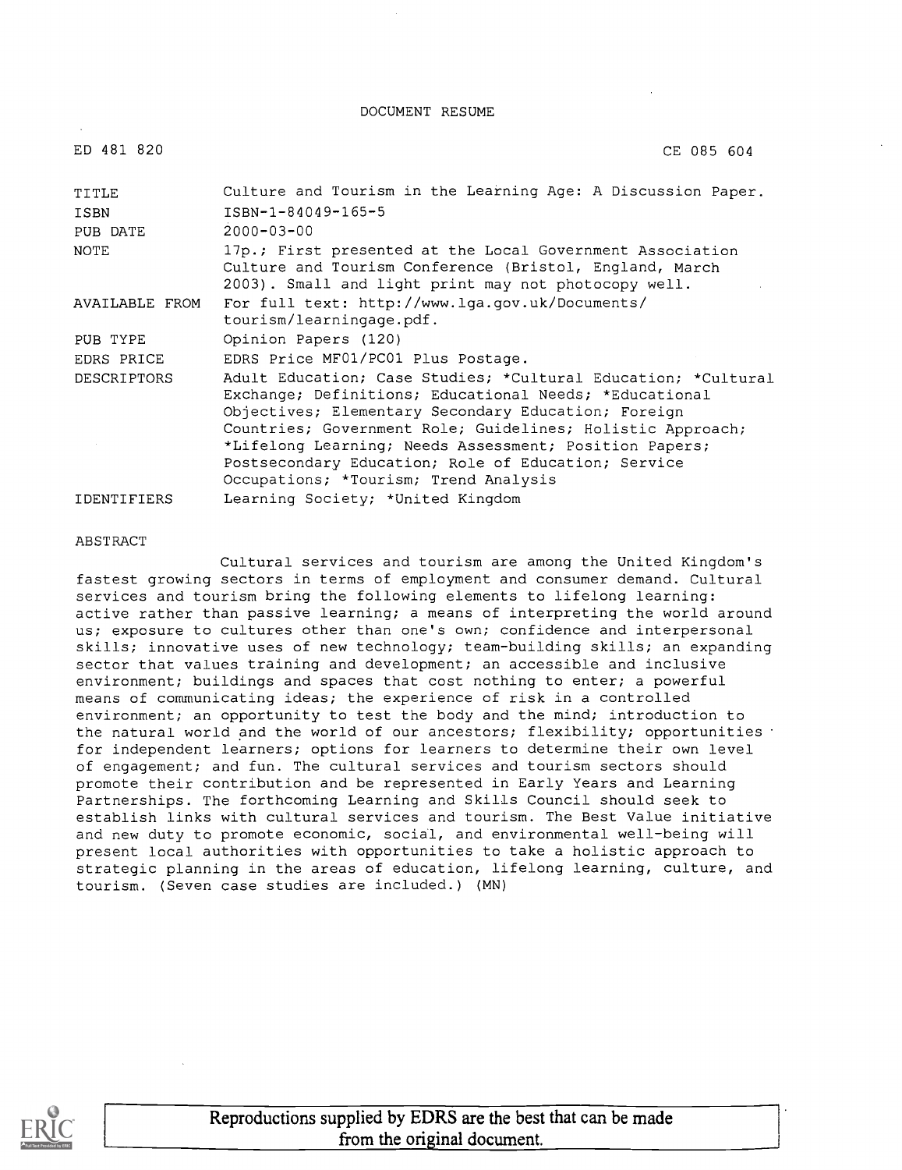DOCUMENT RESUME

| ED 481 820     | CE 085 604                                                                                                                                                                                                                                                                                                                                                                                             |  |  |  |
|----------------|--------------------------------------------------------------------------------------------------------------------------------------------------------------------------------------------------------------------------------------------------------------------------------------------------------------------------------------------------------------------------------------------------------|--|--|--|
| TITLE          | Culture and Tourism in the Learning Age: A Discussion Paper.                                                                                                                                                                                                                                                                                                                                           |  |  |  |
| ISBN           | ISBN-1-84049-165-5                                                                                                                                                                                                                                                                                                                                                                                     |  |  |  |
| PUB DATE       | $2000 - 03 - 00$                                                                                                                                                                                                                                                                                                                                                                                       |  |  |  |
| NOTE           | 17p.; First presented at the Local Government Association<br>Culture and Tourism Conference (Bristol, England, March<br>2003). Small and light print may not photocopy well.                                                                                                                                                                                                                           |  |  |  |
| AVAILABLE FROM | For full text: http://www.lqa.qov.uk/Documents/<br>tourism/learningage.pdf.                                                                                                                                                                                                                                                                                                                            |  |  |  |
| PUB TYPE       | Opinion Papers (120)                                                                                                                                                                                                                                                                                                                                                                                   |  |  |  |
| EDRS PRICE     | EDRS Price MF01/PC01 Plus Postage.                                                                                                                                                                                                                                                                                                                                                                     |  |  |  |
| DESCRIPTORS    | Adult Education; Case Studies; *Cultural Education; *Cultural<br>Exchange; Definitions; Educational Needs; *Educational<br>Objectives; Elementary Secondary Education; Foreign<br>Countries; Government Role; Guidelines; Holistic Approach;<br>*Lifelong Learning; Needs Assessment; Position Papers;<br>Postsecondary Education; Role of Education; Service<br>Occupations; *Tourism; Trend Analysis |  |  |  |
| IDENTIFIERS    | Learning Society; *United Kingdom                                                                                                                                                                                                                                                                                                                                                                      |  |  |  |

#### ABSTRACT

Cultural services and tourism are among the United Kingdom's fastest growing sectors in terms of employment and consumer demand. Cultural services and tourism bring the following elements to lifelong learning: active rather than passive learning; a means of interpreting the world around us; exposure to cultures other than one's own; confidence and interpersonal skills; innovative uses of new technology; team-building skills; an expanding sector that values training and development; an accessible and inclusive environment; buildings and spaces that cost nothing to enter; a powerful means of communicating ideas; the experience of risk in a controlled environment; an opportunity to test the body and the mind; introduction to the natural world and the world of our ancestors; flexibility; opportunities ' for independent learners; options for learners to determine their own level of engagement; and fun. The cultural services and tourism sectors should promote their contribution and be represented in Early Years and Learning Partnerships. The forthcoming Learning and Skills Council should seek to establish links with cultural services and tourism. The Best Value initiative and new duty to promote economic, social, and environmental well-being will present local authorities with opportunities to take a holistic approach to strategic planning in the areas of education, lifelong learning, culture, and tourism. (Seven case studies are included.) (MN)

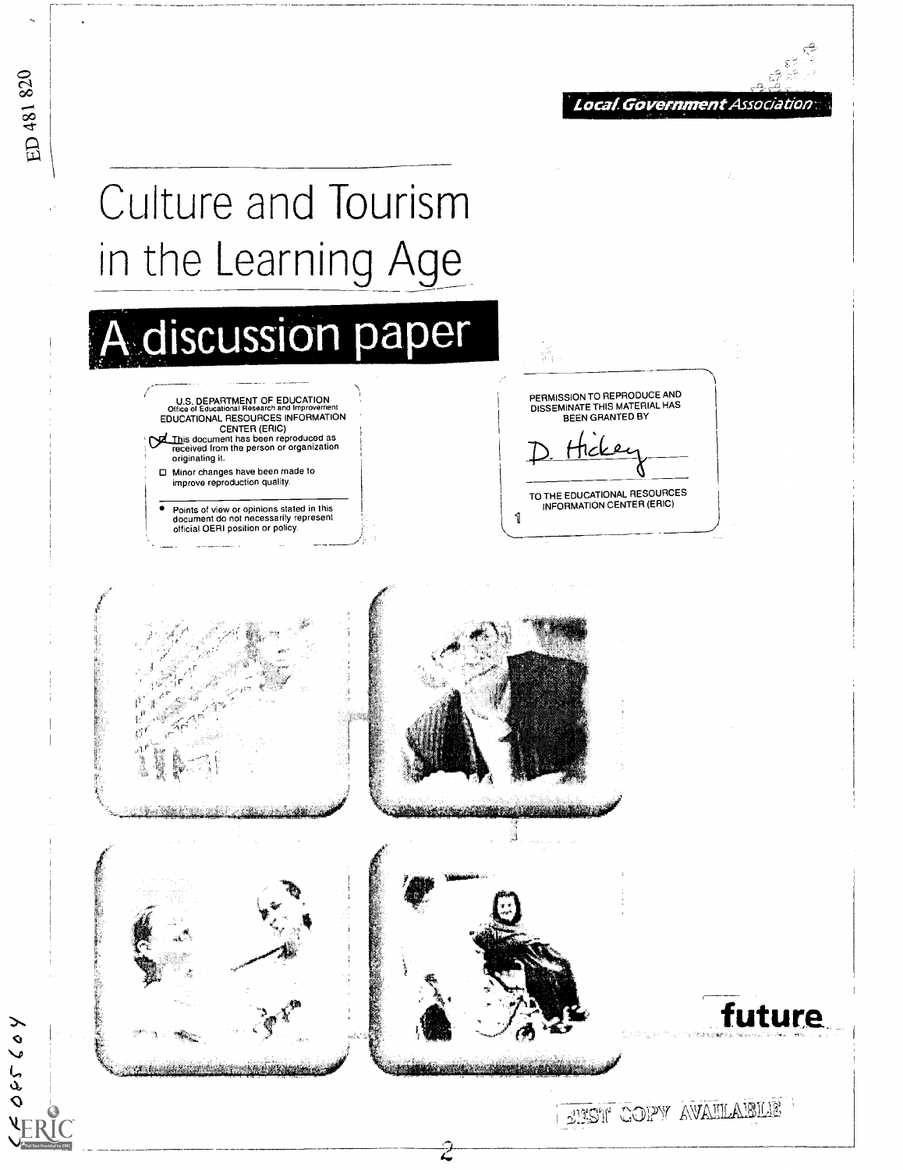

# **Culture and Tourism** in the Learning Age

ED 481 820

⋋

05560

**VERIC** 

A discussion paper U.S. DEPARTMENT OF EDUCATION<br>Office of Educational Research and Improveme EDUCATIONAL RESOURCES INFORMATION CENTER (ERIC) This document has been reproduced as<br>received from the person or organization originating it.

> □ Minor changes have been made to improve reproduction quality.

Points of view or opinions stated in this<br>document do not necessarily represent<br>official OERI position or policy.

PERMISSION TO REPRODUCE AND<br>DISSEMINATE THIS MATERIAL HAS BEEN GRANTED BY

TO THE EDUCATIONAL RESOURCES INFORMATION CENTER (ERIC)

1







da amarca anch

EURSH COPY AVAILABLE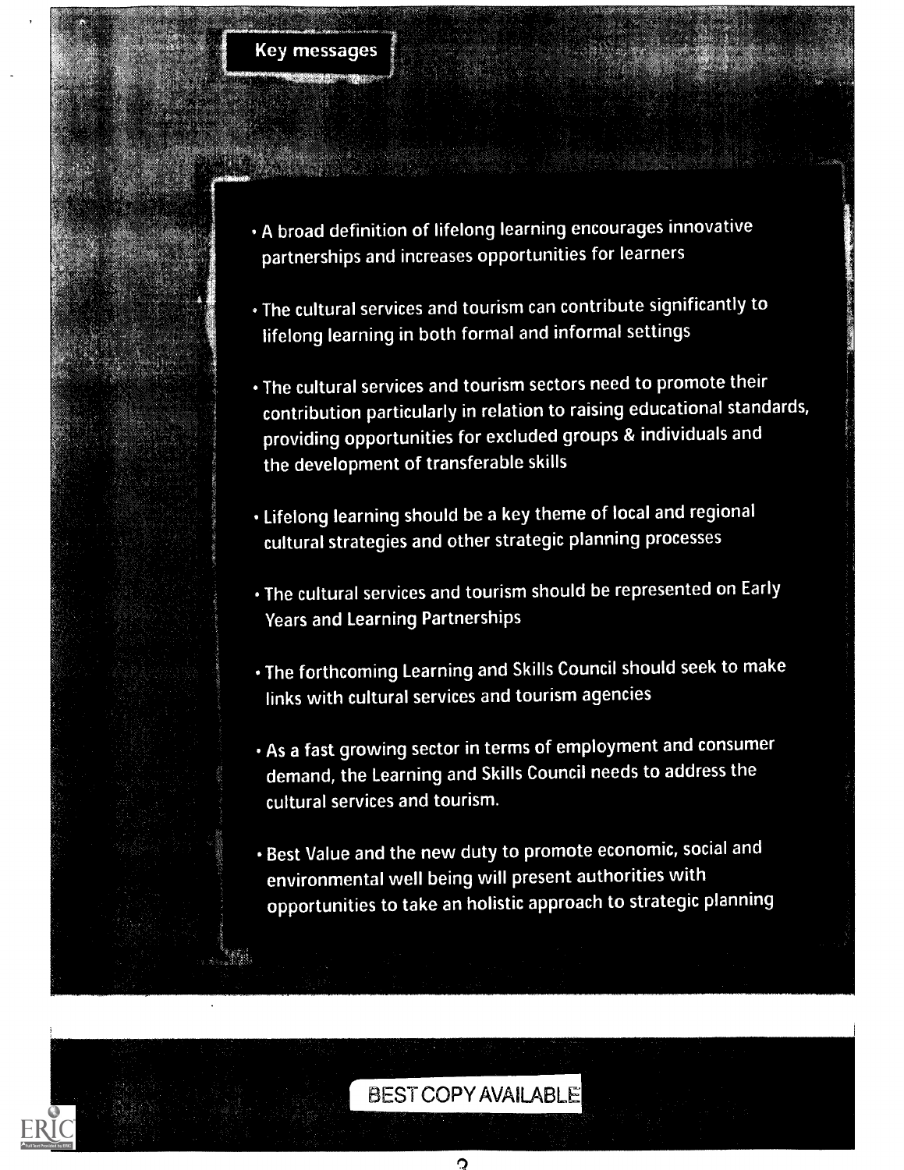### **Key messages**

- · A broad definition of lifelong learning encourages innovative partnerships and increases opportunities for learners
- . The cultural services and tourism can contribute significantly to lifelong learning in both formal and informal settings
- . The cultural services and tourism sectors need to promote their contribution particularly in relation to raising educational standards, providing opportunities for excluded groups & individuals and the development of transferable skills
- . Lifelong learning should be a key theme of local and regional cultural strategies and other strategic planning processes
- . The cultural services and tourism should be represented on Early **Years and Learning Partnerships**
- . The forthcoming Learning and Skills Council should seek to make links with cultural services and tourism agencies
- . As a fast growing sector in terms of employment and consumer demand, the Learning and Skills Council needs to address the cultural services and tourism.
- · Best Value and the new duty to promote economic, social and environmental well being will present authorities with opportunities to take an holistic approach to strategic planning

## **BEST COPY AVAILABLE**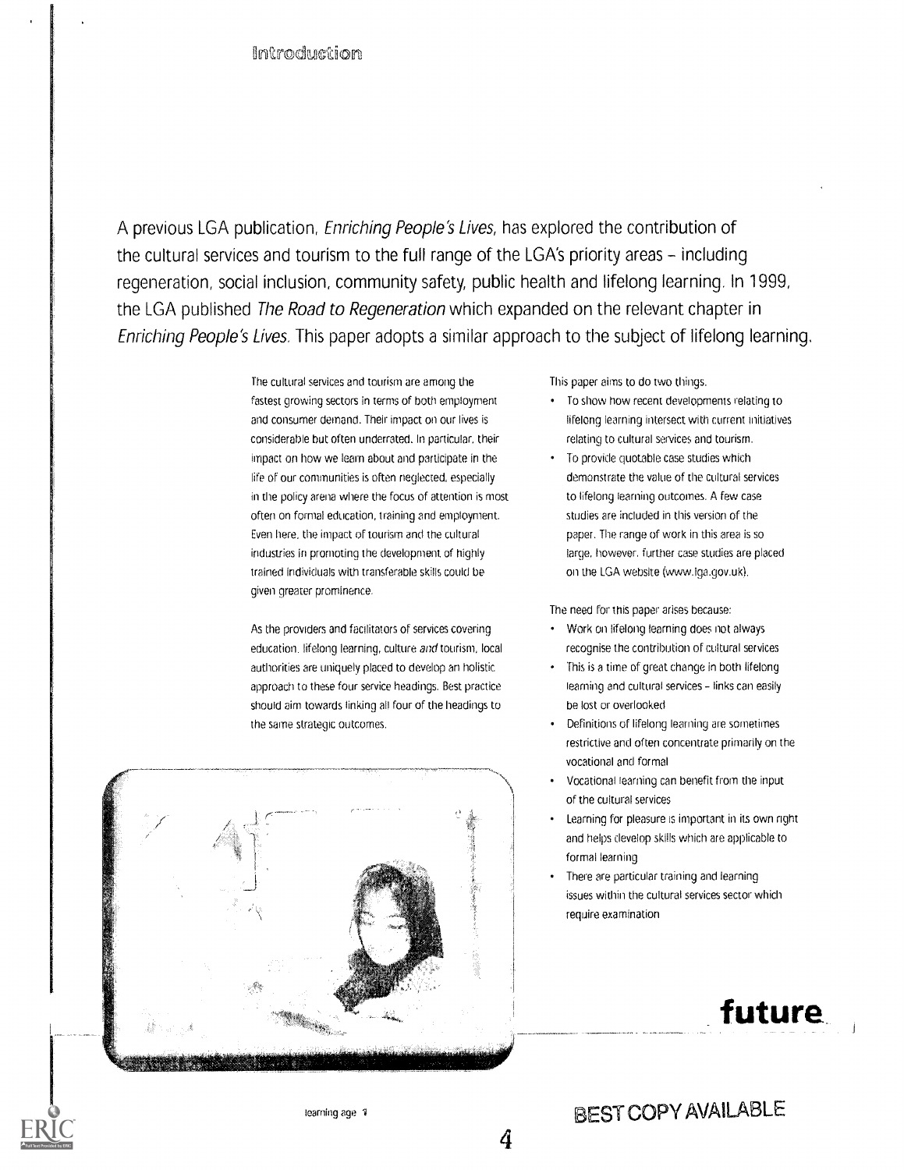A previous LGA publication, Enriching People's Lives, has explored the contribution of the cultural services and tourism to the full range of the LGA's priority areas - including regeneration, social inclusion, community safety, public health and lifelong learning. In 1999, the LGA published The Road to Regeneration which expanded on the relevant chapter in Enriching People's Lives. This paper adopts a similar approach to the subject of lifelong learning.

> The cultural services and tourism are among the fastest growing sectors in terms of both employment and consumer demand. Their impact on our lives is considerable but often underrated. In particular, their impact on how we learn about and participate in the life of our communities is often neglected, especially in the policy arena where the focus of attention is most often on formal education, training and employment. Even here, the impact of tourism and the cultural industries in prornoting the development of highly trained individuals with transferable skills could be given greater prominence.

As the providers and facilitators of services covering education, lifelong learning, culture and tourism, local authorities are uniquely placed to develop an holistic approach to these four service headings. Best practice should aim towards linking all four of the headings to the same strategic outcomes.



This paper aims to do two things.

- To show how recent developments relating to lifelong learning intersect with current initiatives relating to cultural services and tourism.
- To provide quotable case studies which demonstrate the value of the cultural services to lifelong learning outcomes. A few case studies are included in this version of the paper. The range of work in this area is so large, however, further case studies are placed on the LGA website (www.iga.gov.uk).

The need for this paper arises because:

- Work on lifelong learning does not always recognise the contribution of cultural services
- This is a time of great change in both lifelong learning and cultural services - links can easily be lost or overlooked
- Definitions of lifelong learning are sometimes restrictive and often concentrate primarily on the vocational and formal
- Vocational learning can benefit from the input of the cultural services
- Learning for pleasure is important in its own right and helps develop skills which are applicable to formal learning
- There are particular training and learning issues within the cultural services sector which require examination

## future

## BEST COPY AVAILABLE

4

learning age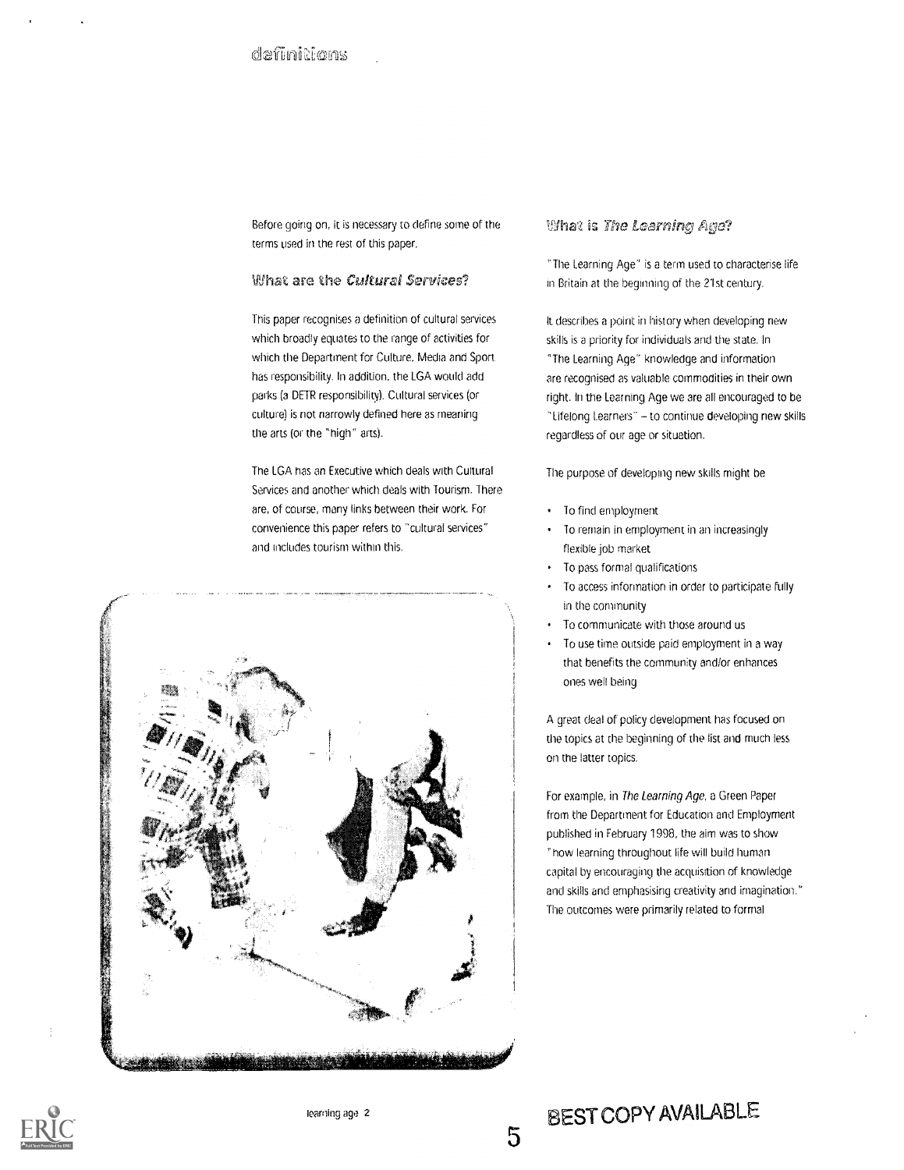Before going on, it is necessary to define some of the **the film at is The Learnin**g Age? terms used in the rest of this paper.

#### What are the Cultural Services?

This paper recognises a definition of cultural services which broadly equates to the range of activities for which the Department for Culture. Media and Sport has responsibility. In addition, the LGA would add parks (a DETR responsibility). Cultural services (or culture) is not narrowly defined here as meaning the arts (or the 'high" arts).

The LGA has an Executive which deals with Cultural Services and another which deals with Tourism. There are, of course, many links between their work. For convenience this paper refers to "cultural services" and includes tourism within this.



'The Learning Age' is a term used to characterise iife in Britain at the beginning of the 21st century.

It describes a point in history when developing new skills is a priority for individuals and the state. In "The Learning Age" knowledge and information are recognised as valuable commodities in their own right. In the Learning Age we are all encouraged to be "Lifelong Learners" - to continue developing new skills regardless of our age or situation.

The purpose of developing new skills might be

- To find employment
- To remain in employment in an increasingly  $\bullet$ flexible job market
- To pass formal qualifications
- To access information in order to participate fully in the community
- To communicate with those around Us
- To use time outside paid employment in a way that benefits the community and/or enhances ones well being

A great deal of policy development has focused on the topics at the beginning of the list and much less on the latter topics.

For example, in The Learning Age, a Green Paper from the Department for Education and Employment published in February 1998, the aim was to show 'how learning throughout life will build human capital by encouraging the acquisition of knowledge and skills and emphasising creativity and imagination." The outcomes were primarily related to formal

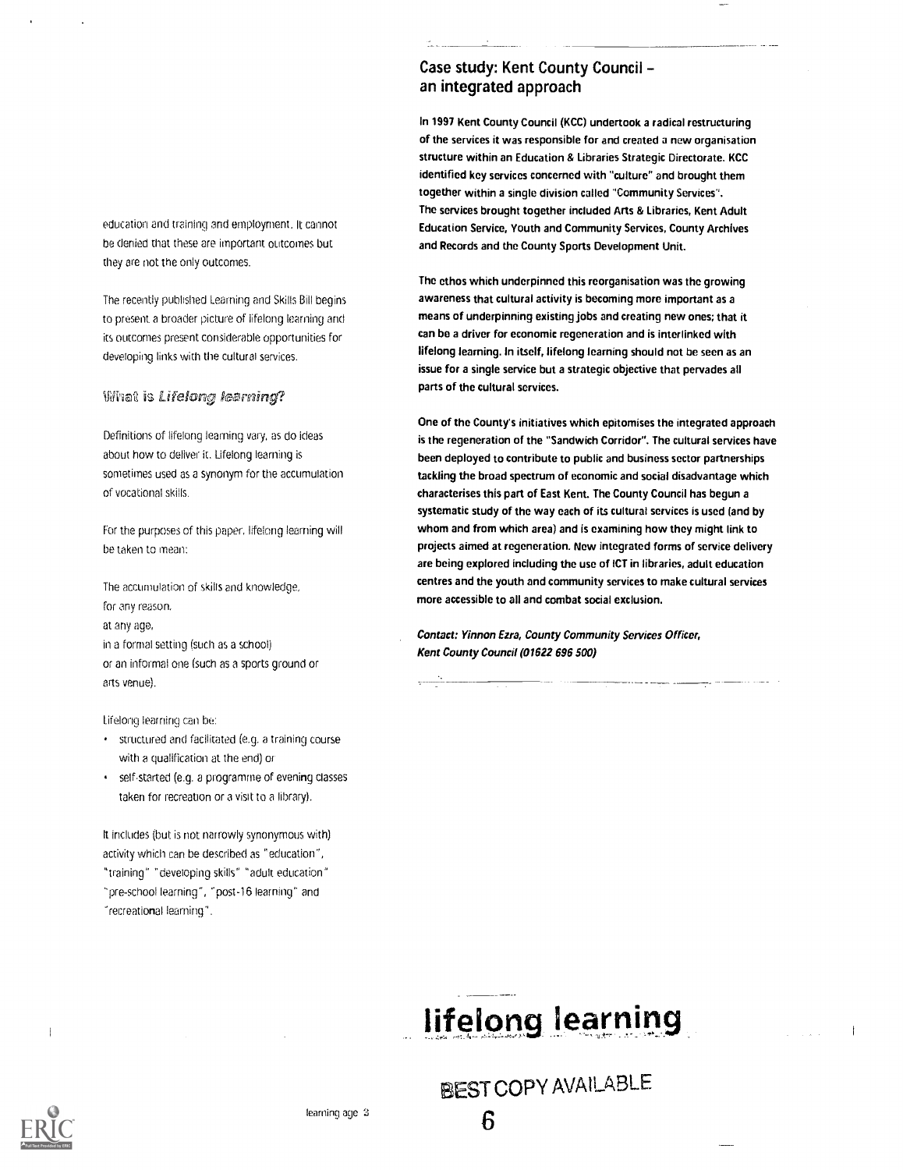education and training and employment. It cannot be denied that these are important outcomes but they are not the only outcomes.

The recently published Learning and Skills Bill begins to present a broader picture of lifelong learning and its outcomes present considerable opportunities for developing links with the cultural services.

#### What is Lifelong learning?

Definitions of lifelong learning vary, as do ideas about how to deliver it. Lifelong learning is sometimes used as a synonym for the accumulation of vocational skills.

For the purposes of this paper, lifelong learning will be taken to mean:

The accumulation of skills and knowledge, for any reason, at any age, in a formai setting (such as a school) or an informal one (such as a sports ground or arts venue).

Lifelong learning can be:

- structured and facilitated (e.g. a training course with a qualification at the end) or
- self-started (e.g. a programme of evening classes taken for recreation or a visit to a library).

It includes (but is not narrowly synonymous with) activity which can be described as "education", "training" "developing skills" "adult education" "pre-school learning", "post-16 learning' and "recreational learning".

### Case study: Kent County Council an integrated approach

In 1997 Kent County Council (KCC) undertook a radical restructuring of the services it was responsible for and created a new organisation structure within an Education & Libraries Strategic Directorate. KCC identified key services concerned with "culture" and brought them together within a single division called "Community Services". The services brought together included Arts & Libraries, Kent Adult Education Service, Youth and Community Services, County Archives and Records and the County Sports Development Unit.

The ethos which underpinned this reorganisation was the growing awareness that cultural activity is becoming more important as a means of underpinning existing jobs and creating new ones; that it can be a driver for economic regeneration and is interlinked with lifelong learning. In itself, lifelong learning should not be seen as an issue for a single service but a strategic objective that pervades all parts of the cultural services.

One of the County's initiatives which epitomises the integrated approach is the regeneration of the "Sandwich Corridor". The cultural services have been deployed to contribute to public and business sector partnerships tackling the broad spectrum of economic and social disadvantage which characterises this part of East Kent. The County Council has begun a systematic study of the way each of its cultural services is used (and by whom and from which area) and is examining how they might link to projects aimed at regeneration. New integrated forms of service delivery are being explored including the use of ICT in libraries, adult education centres and the youth and community services to make cultural services more accessible to all and combat social exclusion.

Contact: Yinnon Ezra, County Community Services Officer, Kent County Council (01622 696 500)

# lifelong learning

BEST COPY AVAILABLE



 $\mathbf{i}$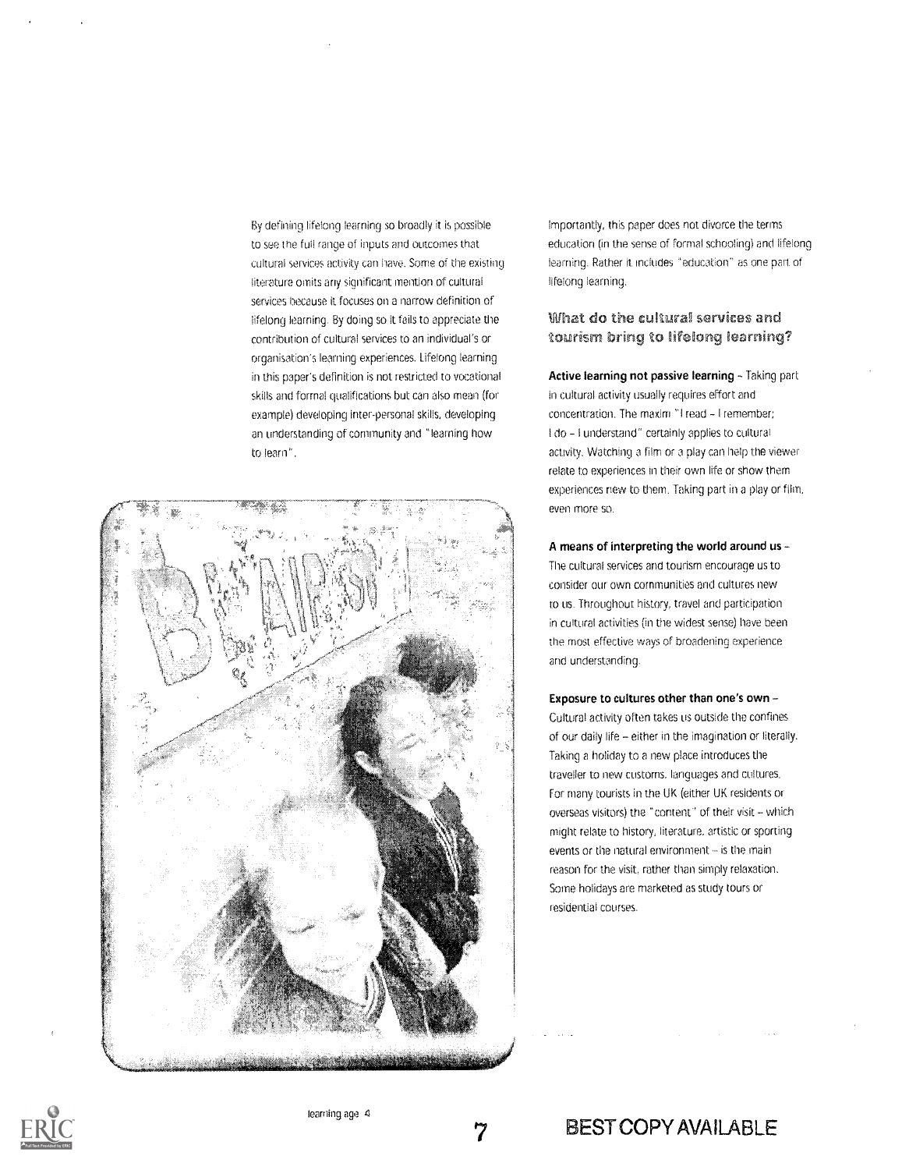By defining lifelong learning so broadly it is possible to see the full range of inputs and outcomes that cultural services activity can have. Some of the existing literature omits any significant mention of cultural services because it focuses on a narrow definition of lifelong learning. By doing so it fails to appreciate the contribution of cultural services to an individual's or organisation's learning experiences. Lifelong learning in this paper's definition is not restricted to vocational skills and formal qualifications but can also mean (for example) developing inter-personal skills, developing an understanding of community and "learning how to learn".



Importantly, this paper does not divorce the terms education (in the sense of formal schooling) and lifelong learning. Rather it includes "education" as one part of lifelong learning.

#### What do the cultural services and Yourism bring Yo Iifelong learning?

Active learning not passive learning - Taking part in cultural activity usually requires effort and concentration. The maxim "I read - I remember; I do - I understand" certainly applies to cultural activity. Watching a film or a play can help the viewer relate to experiences in their own life or show them experiences new to them. Taking part in a play or film, even more so.

A means of interpreting the world around us The cultural services and tourism encourage us to consider our own communities and cultures new to us. Throughout history, travel and participation in cultural activities (in the widest sense) have been the most effective ways of broadening experience and understanding.

Exposure to cultures other than one's own Cultural activity often takes us outside the confines of our daily life - either in the imagination or literally. Taking a holiday to a new place introduces the traveller to new customs, lariguages and cultures. For many tourists in the UK (either UK residents or overseas visitors) the "content" of their visit - which might relate to history, literature, artistic or sporting events or the natural environment - is the main reason for the visit, rather than simply relaxation. Some holidays are marketed as study tours or residential courses.



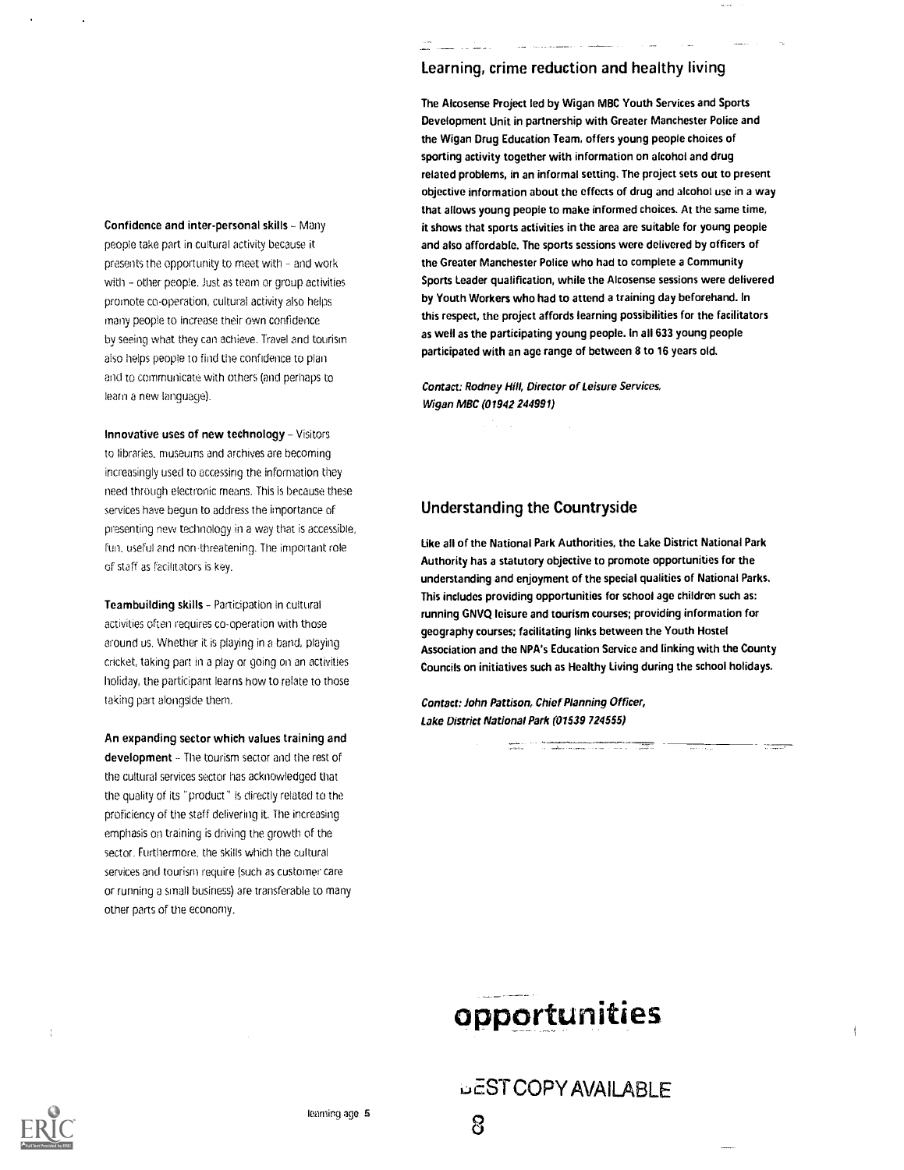Confidence and inter-personal skills - Many people take part in cultural activity because it presents the opportunity to meet with - and work with - other people. Just as team or group activities promote co-operation, cultural activity also helps many people to increase their own confidence by seeing what they can achieve. Travel and tourism also helps people to find the confidence to plan and to communicate with others (and perhaps to learn a new language).

Innovative uses of new technology  $-$  Visitors to libraries, museums and archives are becoming increasingly used to accessing the information they need through electronic means. This is because these services have begun to address the importance of presenting new technology in a way that is accessible, fun, useful and non-threatening. The important role of staff as facilitators is key.

Teambuilding skills - Participation in cultural activities often requires co-operation with those around us. Whether it is playing in a band, playing cricket, taking part in a play or going on an activities holiday, the participant learns how to relate to those taking part alongside them.

An expanding sector which values training and development - The tourism sector and the rest of the cultural services sector has acknowledged that the quality of its "product" is directly related to the proficiency of the staff delivering it. The increasing emphasis on training is driving the growth of the sector. Furthermore, the skills which the cultural services and tourism require (such as customer care or running a small business) are transferable to many other parts of the economy.

#### Learning, crime reduction and healthy living

The Alcosense Project led by Wigan MBC Youth Services and Sports Development Unit in partnership with Greater Manchester Police and the Wigan Drug Education Team, offers young people choices of sporting activity together with information on alcohol and drug related problems, in an informal setting. The project sets out to present objective information about the effects of drug and alcohol use in a way that allows young people to make informed choices. At the same time, it shows that sports activities in the area are suitable for young people and also affordable. The sports sessions were delivered by officers of the Greater Manchester Police who had to complete a Community Sports Leader qualification, while the Alcosense sessions were delivered by Youth Workers who had to attend a training day beforehand. In this respect, the project affords learning possibilities for the facilitators as well as the participating young people. In all 633 young people participated with an age range of between 8 to 16 years old.

Contact: Rodney Hill, Director of Leisure Services, Wigan MBC (01942 244991)

#### Understanding the Countryside

Like all of the National Park Authorities, the Lake District National Park Authority has a statutory objective to promote opportunities for the understanding and enjoyment of the special qualities of National Parks. This includes providing opportunities for school age children such as: running GNVQ leisure and tourism courses; providing information for geography courses; facilitating links between the Youth Hostel Association and the NPA's Education Service and linking with the County Councils on initiatives such as Healthy Living during the school holidays.

Contact: John Pattison, Chief Planning Officer, Lake District National Park (01539 724555)

## opportunities

**WEST COPY AVAILABLE** 

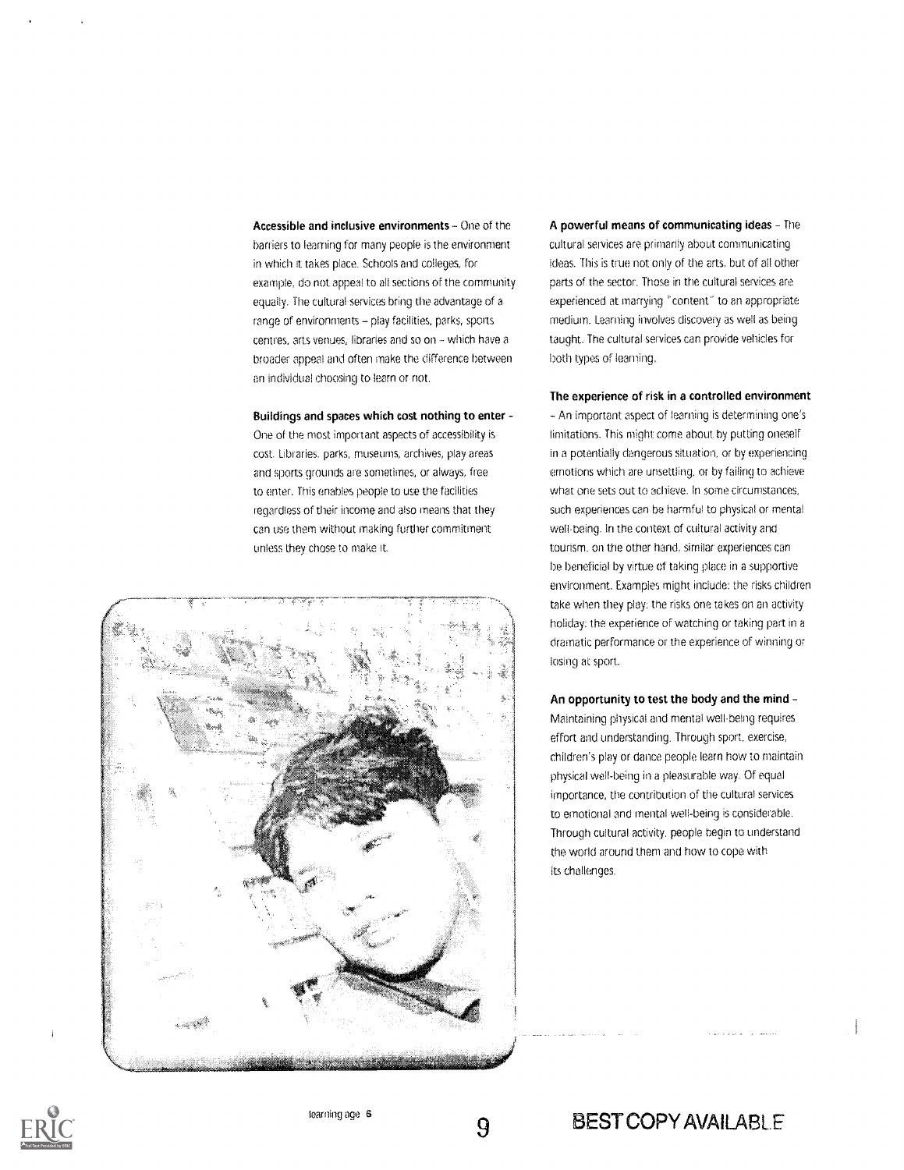Accessible and inclusive environments - One of the barriers to learning for many people is the environment in which it takes place. Schools and colleges, for example, do not appeal to all sections of the community equally. The cultural services bring the advantage of a range of environments - play facilities, parks, sports centres, arts venues, libraries and so on - which have a broader appeal and often make the difference between an individual choosing to learn or not.

Buildings and spaces which cost nothing to enter -

One of the most important aspects of accessibility is cost. Libraries. parks, museums, archives, play areas and sports grounds are sometimes, or always, free to enter. This enables people to use the facilities regardless of their income and also means that they can use them without making further commitment unless they chose to make it.



A powerful means of communicating ideas - The cultural services are primarily about communicating ideas. This is true not only of the arts, but of all other parts of the sector. Those in the cultural services are experienced at marrying "content" to an appropriate medium. Learning involves discovery as well as being taught. The cultural services can provide vehicles for both types of learning.

The experience of risk in a controlled environment

An important aspect of learning is determining one's limitations. This might come about by putting oneself in a potentially dangerous situation, or by experiencing emotions which are unsettling, or by failing to achieve what one sets out to achieve. In some circumstances, such experiences can be harmful to physical or mental well-being. In the context of cultural activity and tourism. on the other hand, similar experiences can be beneficial by virtue of taking place in a supportive environment. Examples might include: the risks children take when they play; tne risks one takes on an activity holiday; the experience of watching or taking part in a dramatic performance or the experience of winning or losing at sport.

An opportunity to test the body and the mind Maintaining physical and mental well-being requires effort and understanding. Through sport. exercise, children's play or dance people learn how to maintain physical well-being in a pleasurable way. Of equal importance, the contribution of the cultural services to emotional and mental well-being is considerable. Through cultural activity, people begin to understand the world around them and how to cope with its challenges.



9

### **BEST COPY AVAILABLE**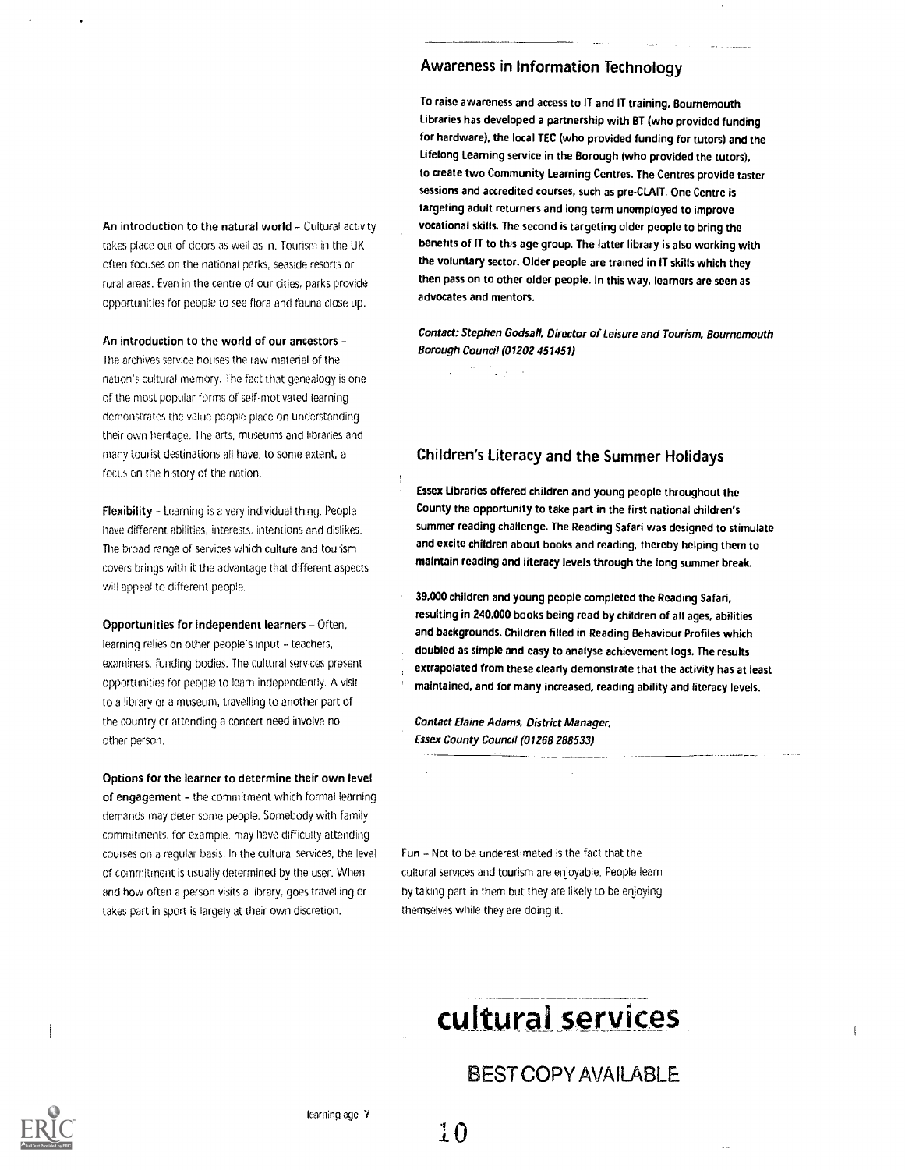An introduction to the natural world - Cultural activity takes place out of doors as well as in. Tourism in the UK often focuses on the national parks, seaside resorts or rural areas. Even in the centre of our cities, parks provide opportunities for people to see flora and fauna close up.

An introduction to the world of our ancestors -The archives service houses the raw material of the nation's cultural memory. The fact that genealogy is one of the roost popular forms of self-motivated learning demonstrates the value people place on understanding their own heritage. The arts, museums and libraries and many tourist destinations all have, to some extent, a focus on the history of the nation.

Flexibility - Learning is a very individual thing. People have different abilities, interests, intentions and dislikes. The broad range of services which culture and tourism covers brings with it the advantage that different. aspects will appeal to different people.

Opportunities for independent learners - Often, learning relies on other people's input - teachers, examiners, funding bodies. The cultural services present opportunities for people to learn independently. A visit to a library or a museum, travelling to another part of the country or attending a concert need involve no other person.

Options for the learner to determine their own level of engagement - the commitment which formal learning demands may deter some people. Somebody with family commitments, for example. may have difficulty attending courses on a regular basis. In the cultural services, the level of commitment is usually determined by the user. When and how often a person visits a library, goes travelling or takes part in sport is largely at their own discretion.

#### Awareness in Information Technology

To raise awareness and access to IT and IT training, Boumemouth Libraries has developed a partnership with BT (who provided funding for hardware), the local TEC (who provided funding for tutors) and the Lifelong Learning service in the Borough (who provided the tutors), to create two Community Learning Centres. The Centres provide taster sessions and accredited courses, such as pre-CLAIT. One Centre is targeting adult returners and long term unemployed to improve vocational skills. The second is targeting older people to bring the benefits of IT to this age group. The latter library is also working with the voluntary sector. Older people are trained in IT skills which they then pass on to other older people. In this way, learners are seen as advocates and mentors.

Contact: Stephen Godsall, Director of Leisure and Tourism, Bournemouth Borough Council (01202 451451)

 $\sim$   $\sim$ 

#### Children's Literacy and the Summer Holidays

Essex Libraries offered children and young people throughout the County the opportunity to take part in the first national children's summer reading challenge. The Reading Safari was designed to stimulate and excite children about books and reading, thereby helping them to maintain reading and literacy levels through the long summer break.

39,000 children and young people completed the Reading Safari, resulting in 240,000 books being read by children of all ages, abilities and backgrounds. Children filled in Reading Behaviour Profiles which doubled as simple and easy to analyse achievement logs. The results extrapolated from these clearly demonstrate that the activity has at least maintained, and for many increased, reading ability and literacy levels.

Contact Elaine Adams, District Manager, Essex County Council (01268 288533)

Fun - Not to be underestimated is the fact that the cultural services and tourism are enjoyable. People learn by taking part in them but they are likely to be enjoying themselves while they are doing it.

## culturai services

### BEST COPY AVAILABLE

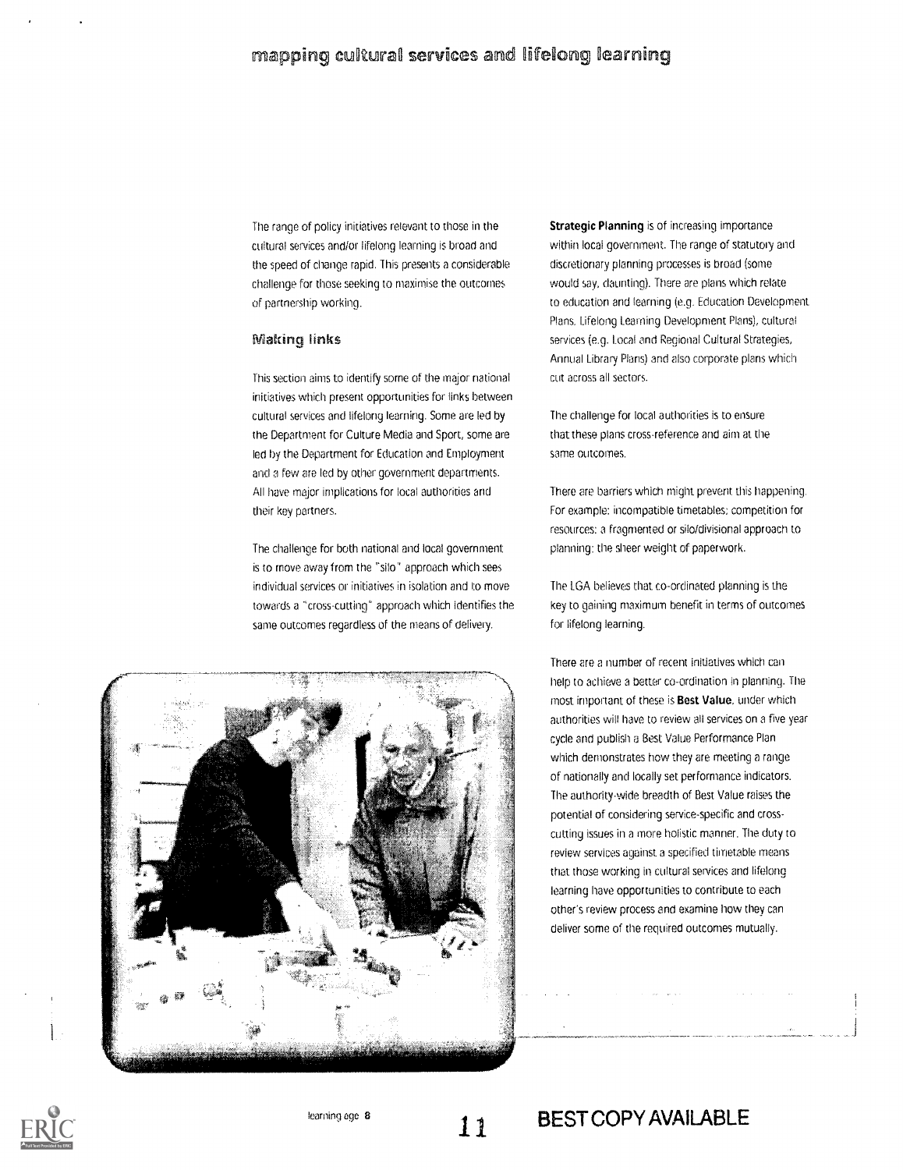The range of policy initiatives relevant to those in the cultural services and/or lifelong learning is broad and the speed of change rapid. This presents a considerable challenge for those seeking to maximise the outcomes of partnership working.

#### **Making links**

This section aims to identify some of the major national initiatives which present opportunities for links between cultural services and lifelong learning. Some are led by the Department for Culture Media and Sport, some are led by the Department for Education and Employment arid a few are led by other government departments. All have major implications for local authorities and their key partners.

The challenge for both national and local government is to move away from the "silo" approach which sees individual services or initiatives in isolation and to move towards a "cross-cutting" approach which identifies the same outcomes regardless of the means of delivery,



The challenge for local authorities is to ensure that these plans cross-reference and aim at the same outcomes.

There are barriers which might prevent this happening. for example: incompatible timetables: competition for resources: a fragmented or silo/divisional approach to planning: the sheer weight of paperwork.

The LGA believes that co-ordinated planning is the key to gaining maximum benefit in terms of outcomes for lifelong learning.





1 1

BEST COPY AVAILABLE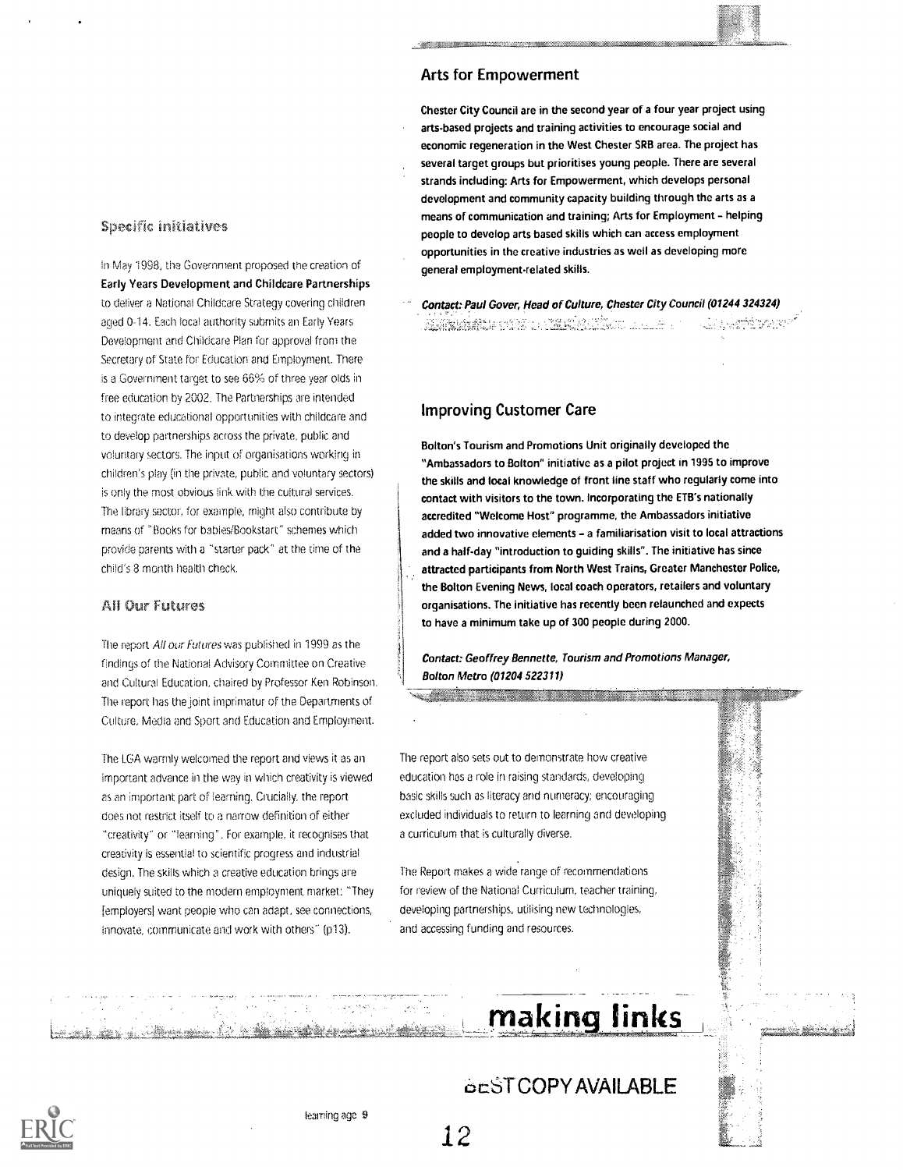#### **Specific initiatives**

In May 1998, the Government proposed the creation of Early Years Development and Childcare Partnerships to deliver a National Childcare Strategy covering children aged 0-14. Each local authority submits an Early Years Development and Childcare Plan for approval from the Secretary of State for Education and Employment. There is a Government target to see 66% of three year olds in free education by 2002. The Partnerships are intended to integrate educational opportunities with childcare and to develop partnerships across the private, public and voluntary sectors. The input of organisations working in children's play (in the private, public and voluntary sectors) is Only the most obvious link with the cultural services. The library sector, for example, might also contribute by means of "Books for habies/Bookstart" schemes which provide parents with a 'starter pack" at the time of the child's 8 month health check.

#### **All Our Futures**

The report All our Futures was published in 1999 as the findings of the National Advisory Committee on Creative and Cultural Education, chaired by Professor Ken Robinson. The report has the joint imprimatur of the Departments of Culture, Media and Sport and Education and Employment.

The LGA warmly welcomed the report and views it as an important advance in the way in which creativity is viewed as an important part of learning. Crucially, the report does not restrict itself to a narrow deflnition of either "creativity" or "learning". For example, it recognises that creativity is essential to scientific progress and industrial design. The skills which a creative education brings are uniquely suited to the modern employment market: "They [employers] want people who can adapt, see connections, innovate, communicate and work with others" (p13).

#### Arts for Empowerment

Chester City Council are in the second year of a four year project using arts-based projects and training activities to encourage social and economic regeneration in the West Chester SRB area. The project has several target groups but prioritises young people. There are several strands including: Arts for Empowerment, which develops personal development and community capacity building through the arts as a means of communication and training; Arts for Employment - helping people to develop arts based skills which can access employment opportunities in the creative industries as well as developing more general employment-related skills.

Contact: Paul Gover, Head of Culture, Chester City Council (01244 324324) RATHAN PRETTER SERVER LOCK Éver:

#### Improving Customer Care

Bolton's Tourism and Promotions Unit originally developed the "Ambassadors to Bolton" initiative as a pilot project in 1995 to improve the skills and local knowledge of front line staff who regularly come into contact with visitors to the town. Incorporating the ETB's nationally accredited "Welcome Host" programme, the Ambassadors initiative added two innovative elements - a familiarisation visit to local attractions and a half-day "introduction to guiding skills". The initiative has since attracted participants from North West Trains, Greater Manchester Police, the Bolton Evening News, local coach operators, retailers and voluntary organisations. The initiative has recently been relaunched and expects to have a minimum take up of 300 people during 2000.

Contact: Geoffrey Bennette, Tourism and Promotions Manager, Bolton Metro (01204 522311)

The report also sets out to demonstrate how creative education has a role in raising standards, developing basic skills such as literacy and numeracy; encouraging excluded individuals to return to learning and developing a curriculum that is culturally diverse.

<u> The Communication of the Communication of the Communication of the Communication of the Communication of the Communication of the Communication of the Communication of the Communication of the Communication of the Commun</u>

The Report makes a wide range of recommendations for review of the National Curriculum, teacher training, developing partnerships, utilising new technologies, and accessing funding and resources.

## making links **the making links**

## 6tST COPY AVAILABLE

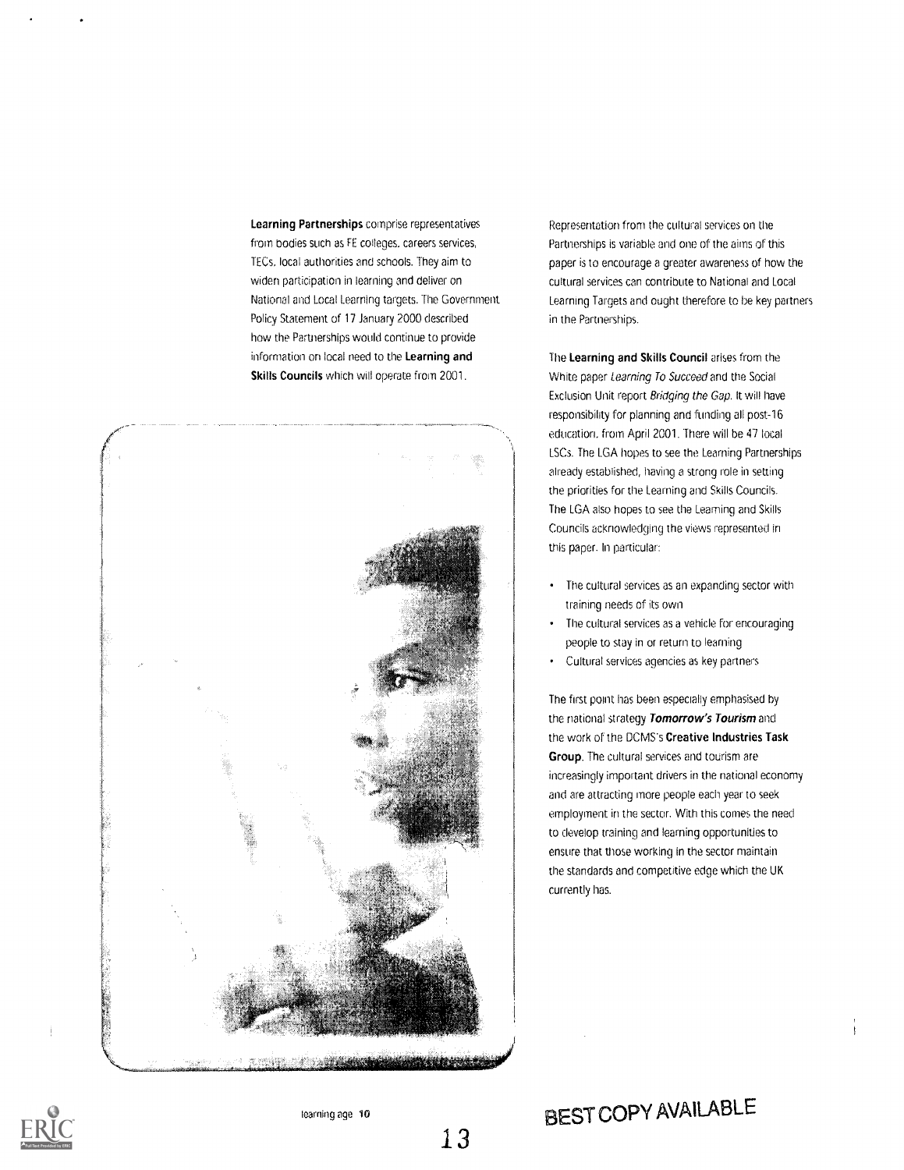Learning Partnerships comprise representatives from bodies such as FE colleges, careers services, TECs, local authorities and schools. They aim to widen participation in learning and deliver on National and Local teaming targets. The Government. Policy Statement of 17 January 2000 described how the Partnerships would continue to provide information on local need to the Learning and Skills Councils which will operate from 2001.

![](_page_12_Picture_1.jpeg)

Representation from the cultural services on the Partnerships is variable and one of the aims of this paper is to encourage a greater awareness of how the cultural services can contribute to National and Local Learning Targets and ought therefore to be key partners in the Partnerships.

The Learning and Skills Council arises from the White paper Learning To Succeed and the Social Exclusion Unit report Bridging the Gap. It will have responsibility for planning and funding all post-16 education, from April 2001, There will be 47 local LSCs. The LGA hopes to see the Learning Partnerships already established, having a strong role in setting the priorities for the Learning and Skills Councils. The LGA also hopes to see the Learning and Skills Councils acknowleclging the views represented in this paper. In particular:

- The cultural services as an expanding sector with training needs of its own
- The cultural services as a vehicle for encouraging people to stay in or return to learning
- Cultural services agencies as key partners

The first point has been especially emphasised by the national strategy Tomorrow's Tourism and the work of the DCMS's Creative Industries Task Group. The cultural services and tourism are increasingly important drivers in the national economy and are attracting more people each year to seek employment in the sector. With this comes the need to develop training and learning opportunities to ensure that those working in the sector maintain the standards and competitive edge which the UK currently has.

![](_page_12_Picture_9.jpeg)

13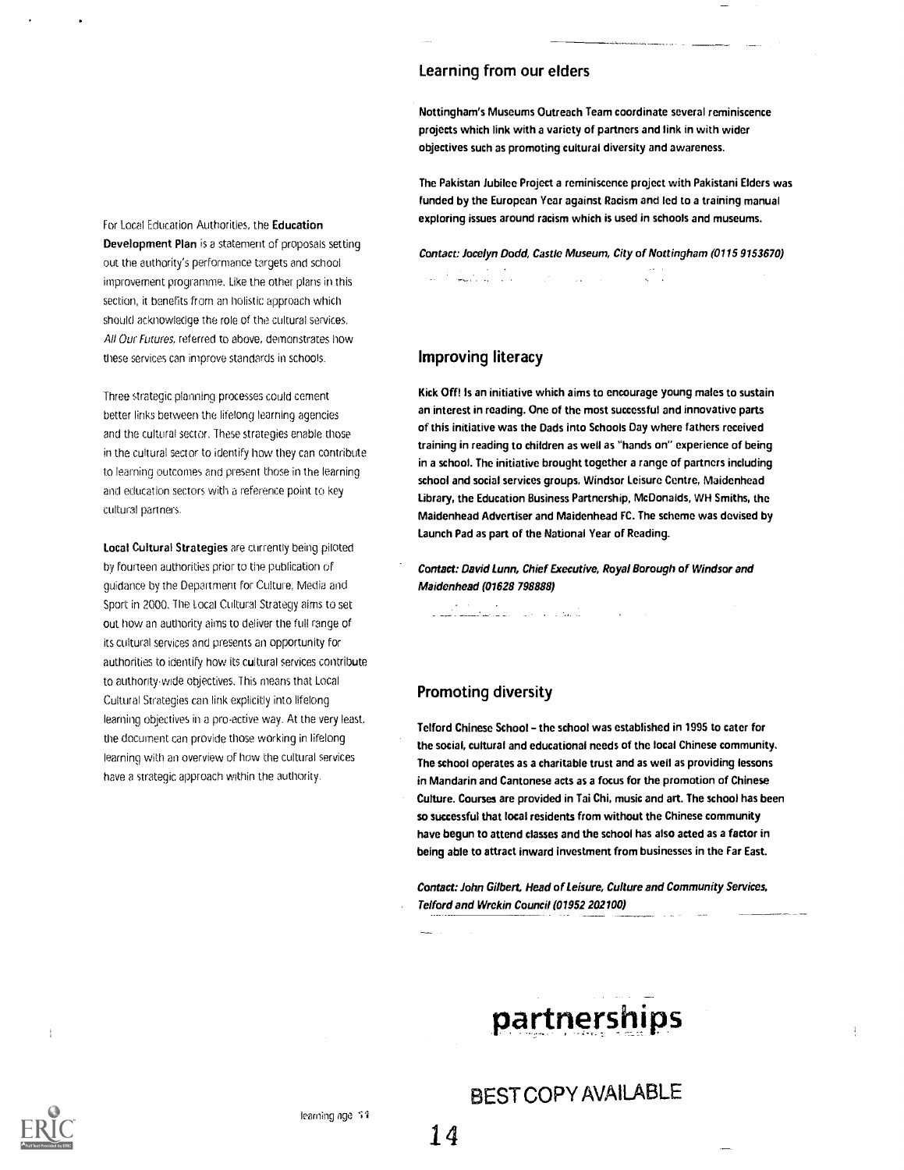For Local Education Authorities, the Education Development Plan is a statement of proposals setting out the authority's performance targets and school improvement programme. Like the other plans in this section, it benefits from an holistic approach which should acknowledge the role of the cultural services. All Our Futures, referred to above, demonstrates how these services can improve standards in schools.

Three strategic planning processes could cement better links between the lifelong learning agencies and the cultural sector. These strategies enable those in the cultural sector to identify how they can contribute to learning outcomes and present those in the learning and education sectors with a reference point to key cultural partners.

Local Cultural Strategies are currently being piloted by fourteen authorities prior to the publication of guidance by the Department for Culture, Media and Sport in 2000. The Local Cultural Strategy aims to set out how an authority aims to deliver the full range of its cultural services and presents an opportunity for authorities to identify how its cultural services contribute to authority-wide objectives. This means that Local Cultural Strategies can link explicitly into lifelong learning objectives in a pro-active way. At the very least, the document can provide those working in lifelong learning with an overview of how the cultural services have a strategic approach within the authority.

#### Learning from our elders

Nottingham's Museums Outreach Team coordinate several reminiscence projects which link with a variety of partners and link in with wider objectives such as promoting cultural diversity and awareness.

The Pakistan Jubilee Project a reminiscence project with Pakistani Elders was funded by the European Year against Racism and led to a training manual exploring issues around racism which is used in schools and museums.

Contact: Jocelyn Dodd, Castle Museum, City of Nottingham (0115 9153670)

<u>Alban I</u>  $\mathcal{L}^{\mathcal{L}}$ 

#### Improving literacy

Kick Off! Is an initiative which aims to encourage young males to sustain an interest in reading. One of the most successful and innovative parts of this initiative was the Dads into Schools Day where fathers received training in reading to children as well as "hands on" experience of being in a school. The initiative brought together a range of partners including school and social services groups, Windsor Leisure Centre, Maidenhead Library, the Education Business Partnership, McDonalds, WH Smiths, the Maidenhead Advertiser and Maidenhead FC. The scheme was devised by Launch Pad as part of the National Year of Reading.

Contact: David Lunn, Chief Executive, Royal Borough of Windsor and Maidenhead (01628 798888)

#### Promoting diversity

المنابعة.<br>المنابعة المنابعة المنابعة المنابعة المنابعة المستشفى المستقبلات

Telford Chinese School - the school was established in 1995 to cater for the social, cultural and educational needs of the local Chinese community. The school operates as a charitable trust and as well as providing lessons in Mandarin and Cantonese acts as a focus for the promotion of Chinese Culture. Courses are provided in Tai Chi, music and art. The school has been so successful that local residents from without the Chinese community have begun to attend classes and the school has also acted as a factor in being able to attract inward investment from businesses in the Far East.

Contact: John Gilbert, Head of Leisure, Culture and Community Services, Telford and Wrekin Council (01952 202100)

partnerships

#### learning age 51 BEST COPY AVAILABLE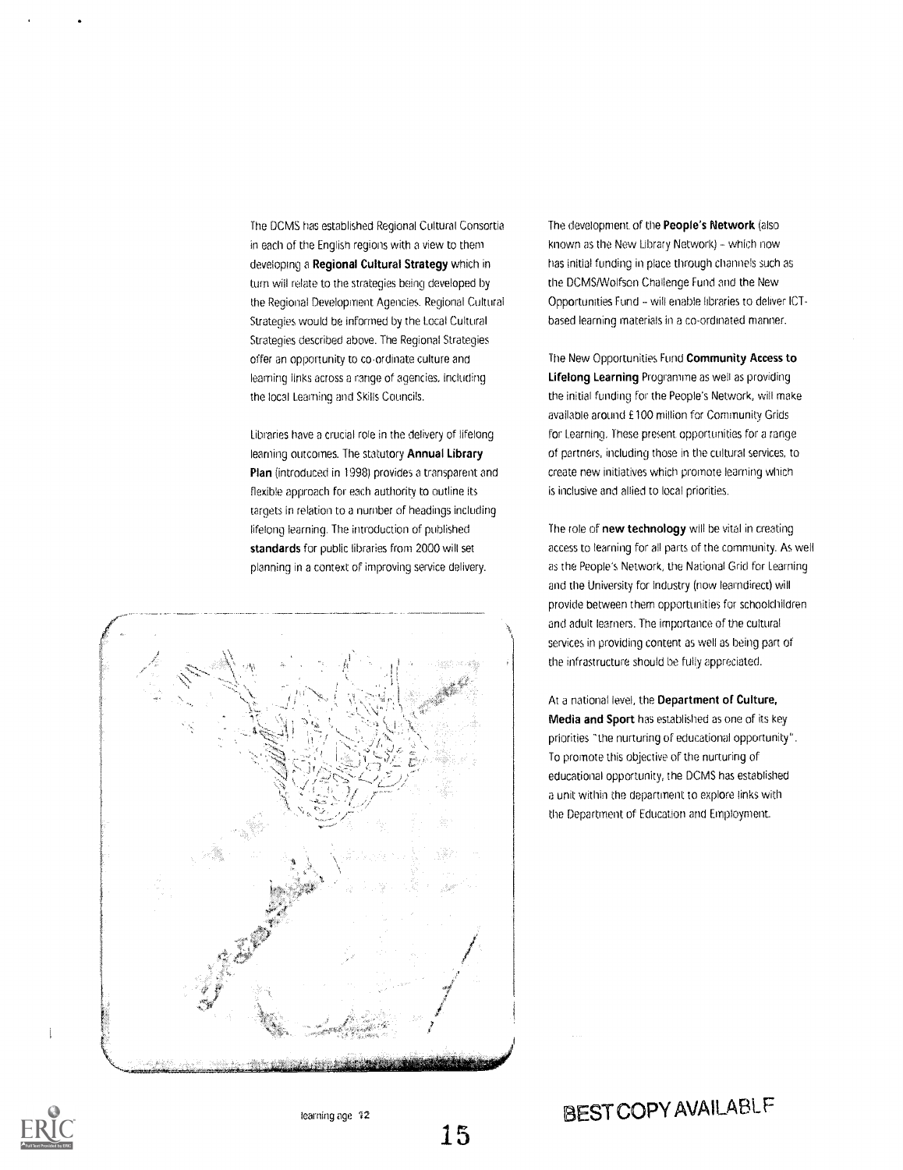The DCMS has established Regional Cultural Consortia in each of the English regions with a view to them developing a Regional Cultural Strategy which in turn will relate to the strategies being developed by the Regional Development Agencies. Regional Cultural Strategies would be informed by the Local Cultural Strategies described above. The Regional Strategies offer an opportunity to co-ordinate culture and learning links across a range of agencies, including the local Learning and Skills Councils.

Libraries have a crucial role in the delivery of lifelong learning outcomes. The statutory Annual Library Plan (introduced in 1998) provides a transparent and flexible approach for each authority to outline its targets in relation to a number of headings including lifelong learning. The introduction of published standards for public libraries from 2000 will set planning in a context of improving service delivery.

![](_page_14_Picture_2.jpeg)

The development of the People's Network (also known as the New Library Network) - which now has initial funding in place through channels such as the DCMS/Wolfson Challenge Fund and the New Opportunities Fund - will enable libraries to deliver ICTbased learning materials in a co-ordinated manner.

The New Opportunities Fund Community Access to Lifelong Learning Programme as well as providing the initial funding for the People's Network, will make available around £100 million for Community Grids for Learning. These present opportunities for a range of partners, including those in the cultural services, to create new initiatives which promote learning which is inclusive and allied to local priorities.

The role of new technology will be vital in creating access to learning for all parts of the community. As well as the People's Network, the National Grid for Learning and the University for Industry (now learndirect) will provide between them opportunities for schoolchildren and adult learners. The importance of the cultural services in providing content as well as being part of the infrastructure should be fully appreciated.

At a national level, the Department of Culture, Media and Sport has established as one of its key priorities "the nurturing of educational opportunity". To promote this objective of the nurturing of educational opportunity, the DCMS has established a unit within the department to explore links with the Department of Education and Employment.

![](_page_14_Picture_7.jpeg)

İ

learning age 12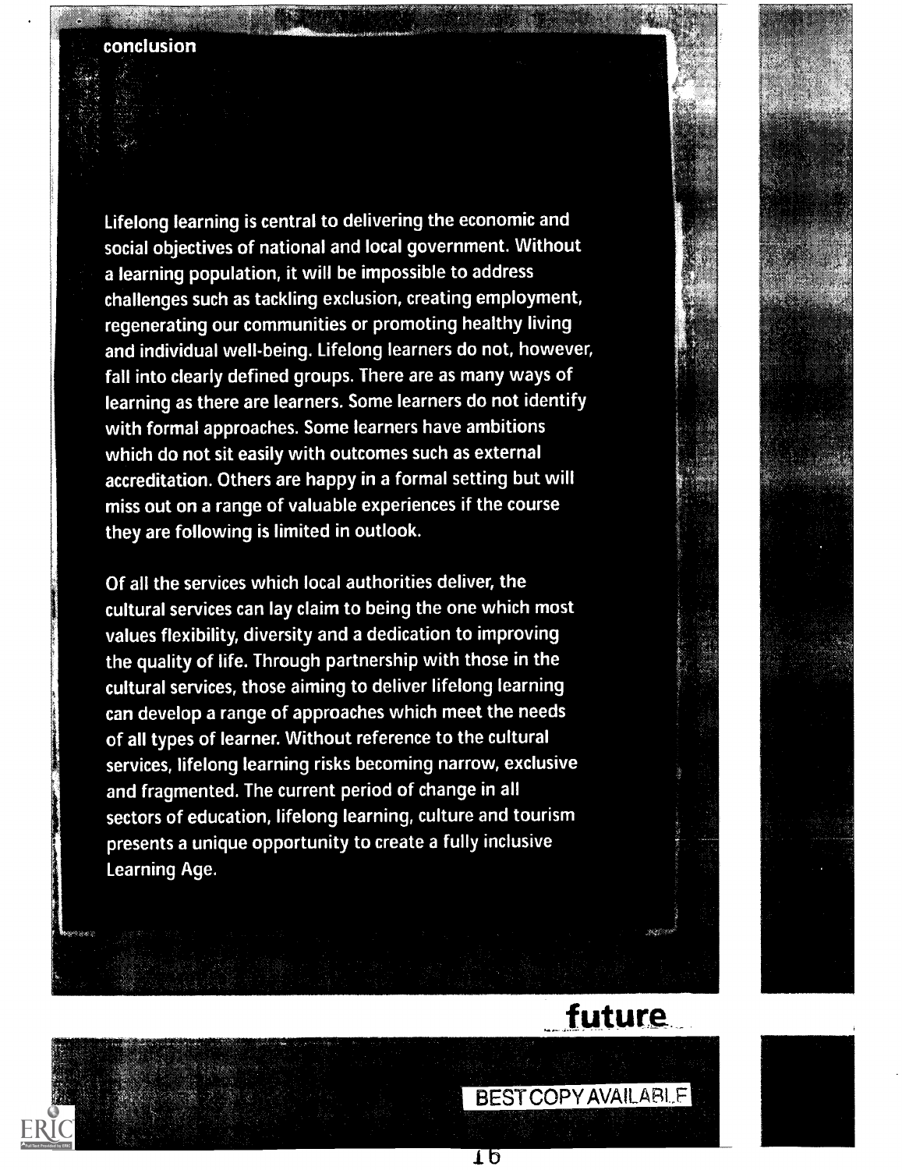Lifelong learning is central to delivering the economic and social objectives of national and local government. Without a learning population, it will be impossible to address challenges such as tackling exclusion, creating employment, regenerating our communities or promoting healthy living and individual well-being. Lifelong learners do not, however, fall into clearly defined groups. There are as many ways of learning as there are learners. Some learners do not identify with formal approaches. Some learners have ambitions which do not sit easily with outcomes such as external accreditation. Others are happy in a formal setting but will miss out on a range of valuable experiences if the course they are following is limited in outlook.

Of all the services which local authorities deliver, the cultural services can lay claim to being the one which most values flexibility, diversity and a dedication to improving the quality of life. Through partnership with those in the cultural services, those aiming to deliver lifelong learning can develop a range of approaches which meet the needs of all types of learner. Without reference to the cultural services, lifelong learning risks becoming narrow, exclusive and fragmented. The current period of change in all sectors of education, lifelong learning, culture and tourism presents a unique opportunity to create a fully inclusive Learning Age.

![](_page_15_Picture_3.jpeg)

## **future**

![](_page_15_Picture_5.jpeg)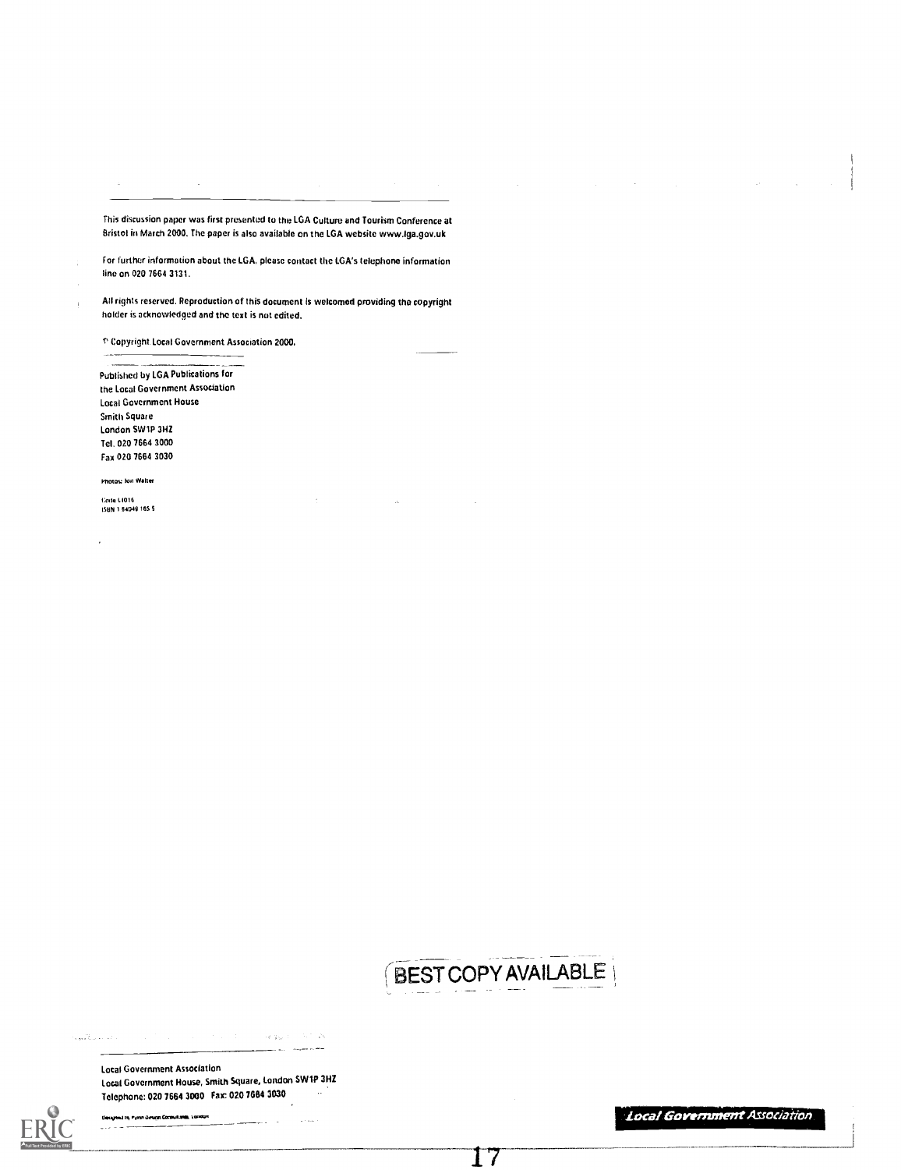This discussion paper was first presented to the LGA Culture and Tourism Conference at Bristol in March 2000. The paper is also available on the LGA website www.lga.gov.uk

f or further information about the LGA, please contact the LGA's telephone information line on 020 7664 3131.

All rights reserved. Reproduction of this document Is welcomed providing the copyright holder is acknowledged and the text is not edited.

T Copyright Local Government Association 2000.

Published by LGA Publications for the Local Government Association Local Government House Smith Square London SW1P 3HZ Tel. 020 7664 3000 Fax 020 7664 3030

Photou Ion Walter

1;nnte LTU16<br>ISBN 1-84049-165-5

![](_page_16_Picture_7.jpeg)

17

 $\log g_{\rm W} \approx -5.5$  . A .<br>Gwelet ivez 

Local Government Association Local Government House, Smith Square, London SW1P 3HZ Telephone: 020 7664 3000 Fax: 020 7664 3030

.<br>Designed in Pyson Design Corpultania, London and and street **Local Government Association**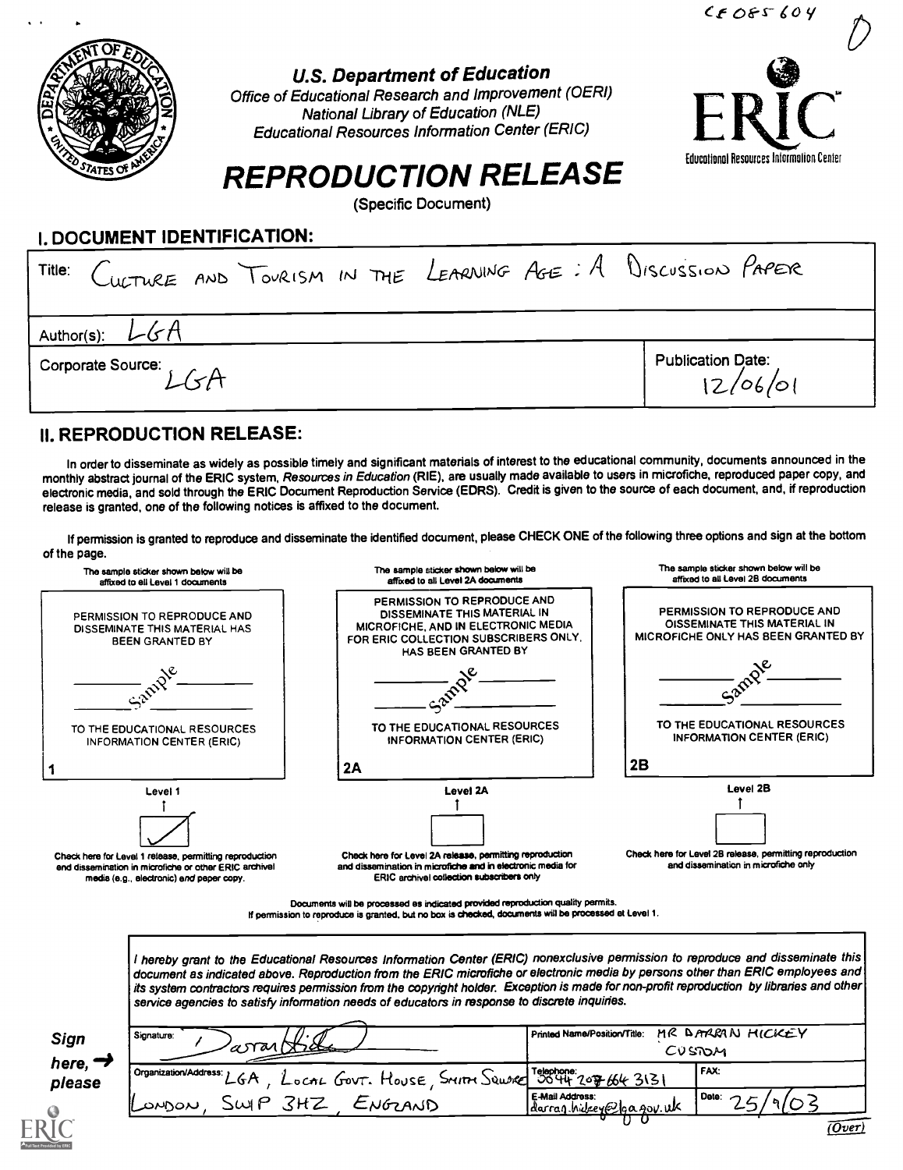![](_page_17_Picture_0.jpeg)

### U.S. Department of Education

Office of Educational Research and Improvement (OERI) National Library of Education (NLE) Educational Resources Information Center (ERIC)

![](_page_17_Picture_3.jpeg)

 $C$ f Of $S$ 604

## REPRODUCTION RELEASE

(Specific Document)

#### I. DOCUMENT IDENTIFICATION:

|                                         | Title: CULTURE AND TOURISM IN THE LEARNING AGE: A DISCUSSION PAPER |
|-----------------------------------------|--------------------------------------------------------------------|
| Author(s):<br>Corporate Source: J J + A | <b>Publication Date:</b>                                           |
|                                         | 12/06/01                                                           |

### II. REPRODUCTION RELEASE:

In order to disseminate as widely as possible timely and significant materials of interest to the educational community, documents announced in the monthly abstract journal of the ERIC system. Resources in Education (RIE), are usually made available to users in microfiche, reproduced paper copy, and electronic media, and sold through the ERIC Document Reproduction Service (EDRS). Credit is given to the source of each document, and, if reproduction release is granted, one of the following notices is affixed to the document.

If permission is granted to reproduce and disseminate the identified document, please CHECK ONE of the following three options and sign at the bottom of the page.

![](_page_17_Figure_11.jpeg)

E-maii Address:

 $\epsilon$ -Mail Address:<br>darran hylgeye<sup>0</sup>le a. 40v. ilk

OMON, SWIP 3HZ ENGRAVID